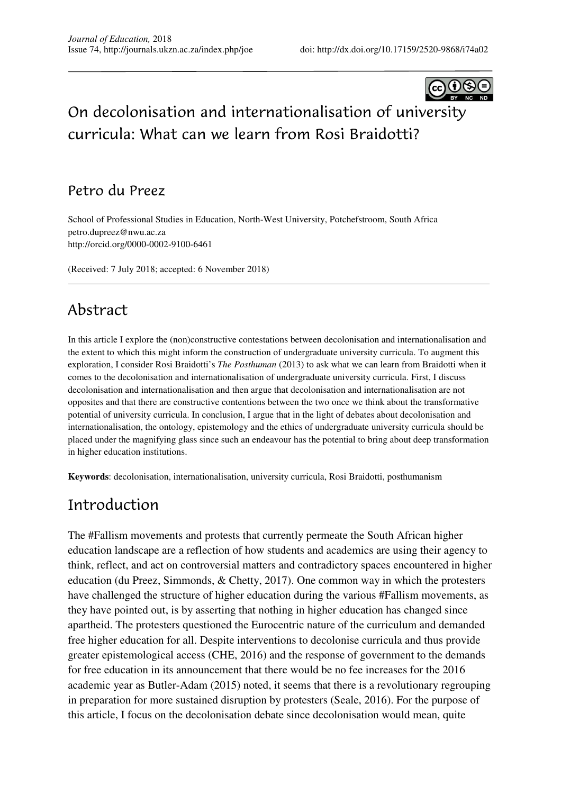

# On decolonisation and internationalisation of university curricula: What can we learn from Rosi Braidotti?

#### Petro du Preez

School of Professional Studies in Education, North-West University, Potchefstroom, South Africa petro.dupreez@nwu.ac.za http://orcid.org/0000-0002-9100-6461

(Received: 7 July 2018; accepted: 6 November 2018)

#### Abstract

In this article I explore the (non)constructive contestations between decolonisation and internationalisation and the extent to which this might inform the construction of undergraduate university curricula. To augment this exploration, I consider Rosi Braidotti's *The Posthuman* (2013) to ask what we can learn from Braidotti when it comes to the decolonisation and internationalisation of undergraduate university curricula. First, I discuss decolonisation and internationalisation and then argue that decolonisation and internationalisation are not opposites and that there are constructive contentions between the two once we think about the transformative potential of university curricula. In conclusion, I argue that in the light of debates about decolonisation and internationalisation, the ontology, epistemology and the ethics of undergraduate university curricula should be placed under the magnifying glass since such an endeavour has the potential to bring about deep transformation in higher education institutions.

**Keywords**: decolonisation, internationalisation, university curricula, Rosi Braidotti, posthumanism

#### Introduction

The #Fallism movements and protests that currently permeate the South African higher education landscape are a reflection of how students and academics are using their agency to think, reflect, and act on controversial matters and contradictory spaces encountered in higher education (du Preez, Simmonds, & Chetty, 2017). One common way in which the protesters have challenged the structure of higher education during the various #Fallism movements, as they have pointed out, is by asserting that nothing in higher education has changed since apartheid. The protesters questioned the Eurocentric nature of the curriculum and demanded free higher education for all. Despite interventions to decolonise curricula and thus provide greater epistemological access (CHE, 2016) and the response of government to the demands for free education in its announcement that there would be no fee increases for the 2016 academic year as Butler-Adam (2015) noted, it seems that there is a revolutionary regrouping in preparation for more sustained disruption by protesters (Seale, 2016). For the purpose of this article, I focus on the decolonisation debate since decolonisation would mean, quite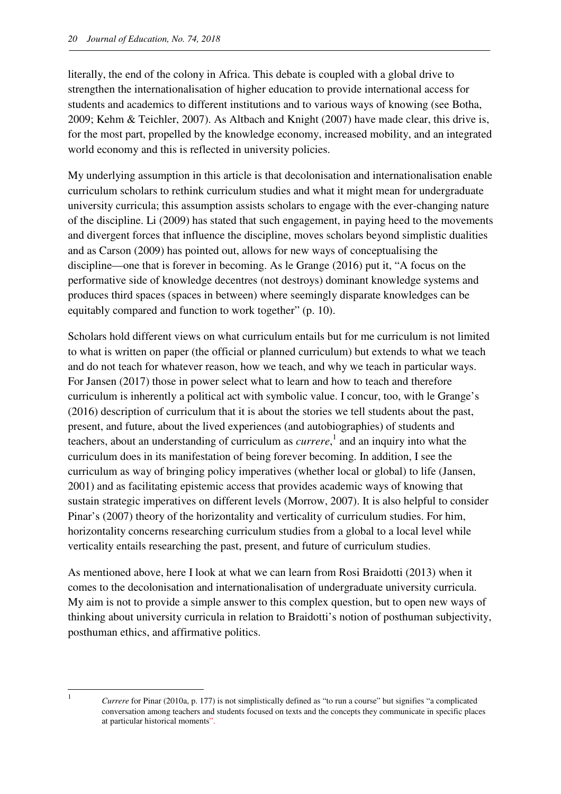literally, the end of the colony in Africa. This debate is coupled with a global drive to strengthen the internationalisation of higher education to provide international access for students and academics to different institutions and to various ways of knowing (see Botha, 2009; Kehm & Teichler, 2007). As Altbach and Knight (2007) have made clear, this drive is, for the most part, propelled by the knowledge economy, increased mobility, and an integrated world economy and this is reflected in university policies.

My underlying assumption in this article is that decolonisation and internationalisation enable curriculum scholars to rethink curriculum studies and what it might mean for undergraduate university curricula; this assumption assists scholars to engage with the ever-changing nature of the discipline. Li (2009) has stated that such engagement, in paying heed to the movements and divergent forces that influence the discipline, moves scholars beyond simplistic dualities and as Carson (2009) has pointed out, allows for new ways of conceptualising the discipline—one that is forever in becoming. As le Grange (2016) put it, "A focus on the performative side of knowledge decentres (not destroys) dominant knowledge systems and produces third spaces (spaces in between) where seemingly disparate knowledges can be equitably compared and function to work together" (p. 10).

Scholars hold different views on what curriculum entails but for me curriculum is not limited to what is written on paper (the official or planned curriculum) but extends to what we teach and do not teach for whatever reason, how we teach, and why we teach in particular ways. For Jansen (2017) those in power select what to learn and how to teach and therefore curriculum is inherently a political act with symbolic value. I concur, too, with le Grange's (2016) description of curriculum that it is about the stories we tell students about the past, present, and future, about the lived experiences (and autobiographies) of students and teachers, about an understanding of curriculum as *currere*, 1 and an inquiry into what the curriculum does in its manifestation of being forever becoming. In addition, I see the curriculum as way of bringing policy imperatives (whether local or global) to life (Jansen, 2001) and as facilitating epistemic access that provides academic ways of knowing that sustain strategic imperatives on different levels (Morrow, 2007). It is also helpful to consider Pinar's (2007) theory of the horizontality and verticality of curriculum studies. For him, horizontality concerns researching curriculum studies from a global to a local level while verticality entails researching the past, present, and future of curriculum studies.

As mentioned above, here I look at what we can learn from Rosi Braidotti (2013) when it comes to the decolonisation and internationalisation of undergraduate university curricula. My aim is not to provide a simple answer to this complex question, but to open new ways of thinking about university curricula in relation to Braidotti's notion of posthuman subjectivity, posthuman ethics, and affirmative politics.

 $\overline{a}$ 1

*Currere* for Pinar (2010a, p. 177) is not simplistically defined as "to run a course" but signifies "a complicated conversation among teachers and students focused on texts and the concepts they communicate in specific places at particular historical moments".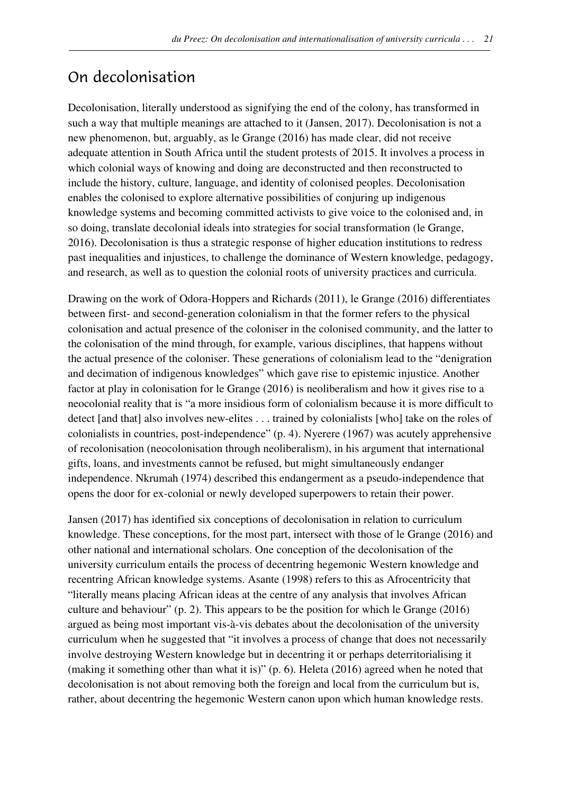### On decolonisation

Decolonisation, literally understood as signifying the end of the colony, has transformed in such a way that multiple meanings are attached to it (Jansen, 2017). Decolonisation is not a new phenomenon, but, arguably, as le Grange (2016) has made clear, did not receive adequate attention in South Africa until the student protests of 2015. It involves a process in which colonial ways of knowing and doing are deconstructed and then reconstructed to include the history, culture, language, and identity of colonised peoples. Decolonisation enables the colonised to explore alternative possibilities of conjuring up indigenous knowledge systems and becoming committed activists to give voice to the colonised and, in so doing, translate decolonial ideals into strategies for social transformation (le Grange, 2016). Decolonisation is thus a strategic response of higher education institutions to redress past inequalities and injustices, to challenge the dominance of Western knowledge, pedagogy, and research, as well as to question the colonial roots of university practices and curricula.

Drawing on the work of Odora-Hoppers and Richards (2011), le Grange (2016) differentiates between first- and second-generation colonialism in that the former refers to the physical colonisation and actual presence of the coloniser in the colonised community, and the latter to the colonisation of the mind through, for example, various disciplines, that happens without the actual presence of the coloniser. These generations of colonialism lead to the "denigration and decimation of indigenous knowledges" which gave rise to epistemic injustice. Another factor at play in colonisation for le Grange (2016) is neoliberalism and how it gives rise to a neocolonial reality that is "a more insidious form of colonialism because it is more difficult to detect [and that] also involves new-elites . . . trained by colonialists [who] take on the roles of colonialists in countries, post-independence" (p. 4). Nyerere (1967) was acutely apprehensive of recolonisation (neocolonisation through neoliberalism), in his argument that international gifts, loans, and investments cannot be refused, but might simultaneously endanger independence. Nkrumah (1974) described this endangerment as a pseudo-independence that opens the door for ex-colonial or newly developed superpowers to retain their power.

Jansen (2017) has identified six conceptions of decolonisation in relation to curriculum knowledge. These conceptions, for the most part, intersect with those of le Grange (2016) and other national and international scholars. One conception of the decolonisation of the university curriculum entails the process of decentring hegemonic Western knowledge and recentring African knowledge systems. Asante (1998) refers to this as Afrocentricity that "literally means placing African ideas at the centre of any analysis that involves African culture and behaviour" (p. 2). This appears to be the position for which le Grange (2016) argued as being most important vis-à-vis debates about the decolonisation of the university curriculum when he suggested that "it involves a process of change that does not necessarily involve destroying Western knowledge but in decentring it or perhaps deterritorialising it (making it something other than what it is)" (p. 6). Heleta (2016) agreed when he noted that decolonisation is not about removing both the foreign and local from the curriculum but is, rather, about decentring the hegemonic Western canon upon which human knowledge rests.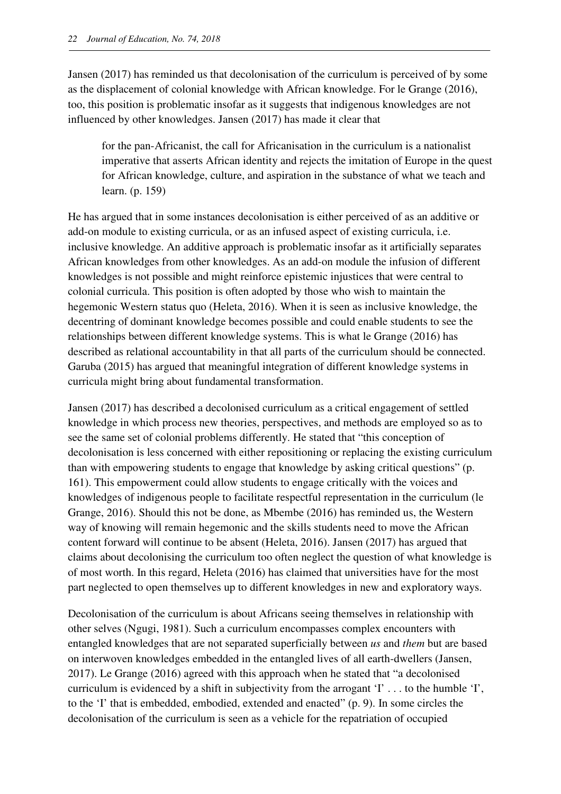Jansen (2017) has reminded us that decolonisation of the curriculum is perceived of by some as the displacement of colonial knowledge with African knowledge. For le Grange (2016), too, this position is problematic insofar as it suggests that indigenous knowledges are not influenced by other knowledges. Jansen (2017) has made it clear that

for the pan-Africanist, the call for Africanisation in the curriculum is a nationalist imperative that asserts African identity and rejects the imitation of Europe in the quest for African knowledge, culture, and aspiration in the substance of what we teach and learn. (p. 159)

He has argued that in some instances decolonisation is either perceived of as an additive or add-on module to existing curricula, or as an infused aspect of existing curricula, i.e. inclusive knowledge. An additive approach is problematic insofar as it artificially separates African knowledges from other knowledges. As an add-on module the infusion of different knowledges is not possible and might reinforce epistemic injustices that were central to colonial curricula. This position is often adopted by those who wish to maintain the hegemonic Western status quo (Heleta, 2016). When it is seen as inclusive knowledge, the decentring of dominant knowledge becomes possible and could enable students to see the relationships between different knowledge systems. This is what le Grange (2016) has described as relational accountability in that all parts of the curriculum should be connected. Garuba (2015) has argued that meaningful integration of different knowledge systems in curricula might bring about fundamental transformation.

Jansen (2017) has described a decolonised curriculum as a critical engagement of settled knowledge in which process new theories, perspectives, and methods are employed so as to see the same set of colonial problems differently. He stated that "this conception of decolonisation is less concerned with either repositioning or replacing the existing curriculum than with empowering students to engage that knowledge by asking critical questions" (p. 161). This empowerment could allow students to engage critically with the voices and knowledges of indigenous people to facilitate respectful representation in the curriculum (le Grange, 2016). Should this not be done, as Mbembe (2016) has reminded us, the Western way of knowing will remain hegemonic and the skills students need to move the African content forward will continue to be absent (Heleta, 2016). Jansen (2017) has argued that claims about decolonising the curriculum too often neglect the question of what knowledge is of most worth. In this regard, Heleta (2016) has claimed that universities have for the most part neglected to open themselves up to different knowledges in new and exploratory ways.

Decolonisation of the curriculum is about Africans seeing themselves in relationship with other selves (Ngugi, 1981). Such a curriculum encompasses complex encounters with entangled knowledges that are not separated superficially between *us* and *them* but are based on interwoven knowledges embedded in the entangled lives of all earth-dwellers (Jansen, 2017). Le Grange (2016) agreed with this approach when he stated that "a decolonised curriculum is evidenced by a shift in subjectivity from the arrogant  $T$ ... to the humble  $T$ , to the 'I' that is embedded, embodied, extended and enacted" (p. 9). In some circles the decolonisation of the curriculum is seen as a vehicle for the repatriation of occupied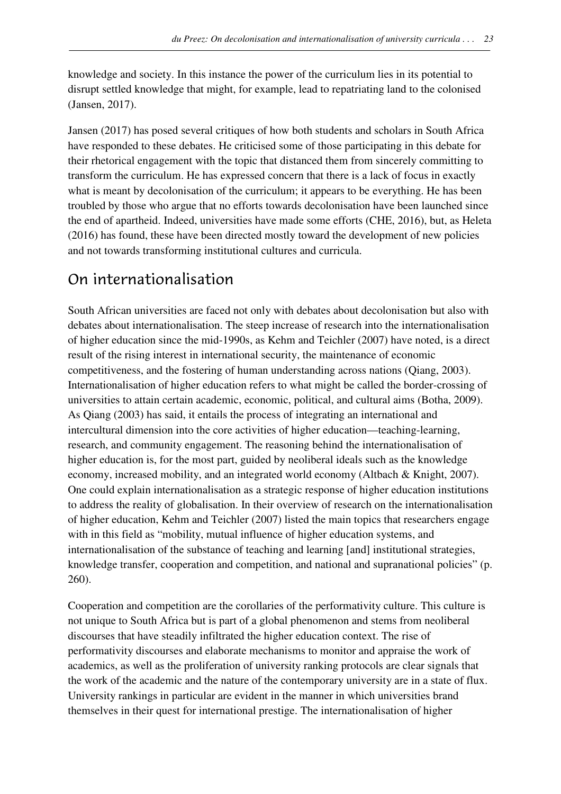knowledge and society. In this instance the power of the curriculum lies in its potential to disrupt settled knowledge that might, for example, lead to repatriating land to the colonised (Jansen, 2017).

Jansen (2017) has posed several critiques of how both students and scholars in South Africa have responded to these debates. He criticised some of those participating in this debate for their rhetorical engagement with the topic that distanced them from sincerely committing to transform the curriculum. He has expressed concern that there is a lack of focus in exactly what is meant by decolonisation of the curriculum; it appears to be everything. He has been troubled by those who argue that no efforts towards decolonisation have been launched since the end of apartheid. Indeed, universities have made some efforts (CHE, 2016), but, as Heleta (2016) has found, these have been directed mostly toward the development of new policies and not towards transforming institutional cultures and curricula.

#### On internationalisation

South African universities are faced not only with debates about decolonisation but also with debates about internationalisation. The steep increase of research into the internationalisation of higher education since the mid-1990s, as Kehm and Teichler (2007) have noted, is a direct result of the rising interest in international security, the maintenance of economic competitiveness, and the fostering of human understanding across nations (Qiang, 2003). Internationalisation of higher education refers to what might be called the border-crossing of universities to attain certain academic, economic, political, and cultural aims (Botha, 2009). As Qiang (2003) has said, it entails the process of integrating an international and intercultural dimension into the core activities of higher education—teaching-learning, research, and community engagement. The reasoning behind the internationalisation of higher education is, for the most part, guided by neoliberal ideals such as the knowledge economy, increased mobility, and an integrated world economy (Altbach & Knight, 2007). One could explain internationalisation as a strategic response of higher education institutions to address the reality of globalisation. In their overview of research on the internationalisation of higher education, Kehm and Teichler (2007) listed the main topics that researchers engage with in this field as "mobility, mutual influence of higher education systems, and internationalisation of the substance of teaching and learning [and] institutional strategies, knowledge transfer, cooperation and competition, and national and supranational policies" (p. 260).

Cooperation and competition are the corollaries of the performativity culture. This culture is not unique to South Africa but is part of a global phenomenon and stems from neoliberal discourses that have steadily infiltrated the higher education context. The rise of performativity discourses and elaborate mechanisms to monitor and appraise the work of academics, as well as the proliferation of university ranking protocols are clear signals that the work of the academic and the nature of the contemporary university are in a state of flux. University rankings in particular are evident in the manner in which universities brand themselves in their quest for international prestige. The internationalisation of higher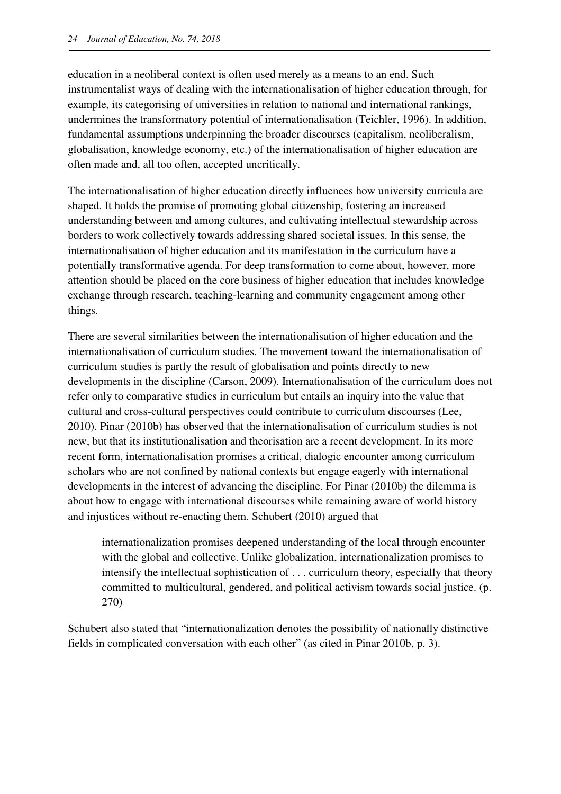education in a neoliberal context is often used merely as a means to an end. Such instrumentalist ways of dealing with the internationalisation of higher education through, for example, its categorising of universities in relation to national and international rankings, undermines the transformatory potential of internationalisation (Teichler, 1996). In addition, fundamental assumptions underpinning the broader discourses (capitalism, neoliberalism, globalisation, knowledge economy, etc.) of the internationalisation of higher education are often made and, all too often, accepted uncritically.

The internationalisation of higher education directly influences how university curricula are shaped. It holds the promise of promoting global citizenship, fostering an increased understanding between and among cultures, and cultivating intellectual stewardship across borders to work collectively towards addressing shared societal issues. In this sense, the internationalisation of higher education and its manifestation in the curriculum have a potentially transformative agenda. For deep transformation to come about, however, more attention should be placed on the core business of higher education that includes knowledge exchange through research, teaching-learning and community engagement among other things.

There are several similarities between the internationalisation of higher education and the internationalisation of curriculum studies. The movement toward the internationalisation of curriculum studies is partly the result of globalisation and points directly to new developments in the discipline (Carson, 2009). Internationalisation of the curriculum does not refer only to comparative studies in curriculum but entails an inquiry into the value that cultural and cross-cultural perspectives could contribute to curriculum discourses (Lee, 2010). Pinar (2010b) has observed that the internationalisation of curriculum studies is not new, but that its institutionalisation and theorisation are a recent development. In its more recent form, internationalisation promises a critical, dialogic encounter among curriculum scholars who are not confined by national contexts but engage eagerly with international developments in the interest of advancing the discipline. For Pinar (2010b) the dilemma is about how to engage with international discourses while remaining aware of world history and injustices without re-enacting them. Schubert (2010) argued that

internationalization promises deepened understanding of the local through encounter with the global and collective. Unlike globalization, internationalization promises to intensify the intellectual sophistication of . . . curriculum theory, especially that theory committed to multicultural, gendered, and political activism towards social justice. (p. 270)

Schubert also stated that "internationalization denotes the possibility of nationally distinctive fields in complicated conversation with each other" (as cited in Pinar 2010b, p. 3).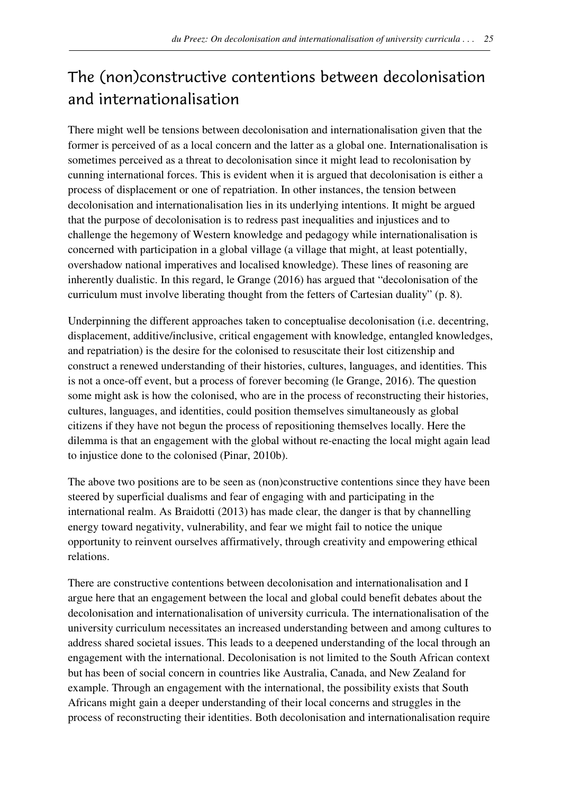# The (non)constructive contentions between decolonisation and internationalisation

There might well be tensions between decolonisation and internationalisation given that the former is perceived of as a local concern and the latter as a global one. Internationalisation is sometimes perceived as a threat to decolonisation since it might lead to recolonisation by cunning international forces. This is evident when it is argued that decolonisation is either a process of displacement or one of repatriation. In other instances, the tension between decolonisation and internationalisation lies in its underlying intentions. It might be argued that the purpose of decolonisation is to redress past inequalities and injustices and to challenge the hegemony of Western knowledge and pedagogy while internationalisation is concerned with participation in a global village (a village that might, at least potentially, overshadow national imperatives and localised knowledge). These lines of reasoning are inherently dualistic. In this regard, le Grange (2016) has argued that "decolonisation of the curriculum must involve liberating thought from the fetters of Cartesian duality" (p. 8).

Underpinning the different approaches taken to conceptualise decolonisation (i.e. decentring, displacement, additive/inclusive, critical engagement with knowledge, entangled knowledges, and repatriation) is the desire for the colonised to resuscitate their lost citizenship and construct a renewed understanding of their histories, cultures, languages, and identities. This is not a once-off event, but a process of forever becoming (le Grange, 2016). The question some might ask is how the colonised, who are in the process of reconstructing their histories, cultures, languages, and identities, could position themselves simultaneously as global citizens if they have not begun the process of repositioning themselves locally. Here the dilemma is that an engagement with the global without re-enacting the local might again lead to injustice done to the colonised (Pinar, 2010b).

The above two positions are to be seen as (non)constructive contentions since they have been steered by superficial dualisms and fear of engaging with and participating in the international realm. As Braidotti (2013) has made clear, the danger is that by channelling energy toward negativity, vulnerability, and fear we might fail to notice the unique opportunity to reinvent ourselves affirmatively, through creativity and empowering ethical relations.

There are constructive contentions between decolonisation and internationalisation and I argue here that an engagement between the local and global could benefit debates about the decolonisation and internationalisation of university curricula. The internationalisation of the university curriculum necessitates an increased understanding between and among cultures to address shared societal issues. This leads to a deepened understanding of the local through an engagement with the international. Decolonisation is not limited to the South African context but has been of social concern in countries like Australia, Canada, and New Zealand for example. Through an engagement with the international, the possibility exists that South Africans might gain a deeper understanding of their local concerns and struggles in the process of reconstructing their identities. Both decolonisation and internationalisation require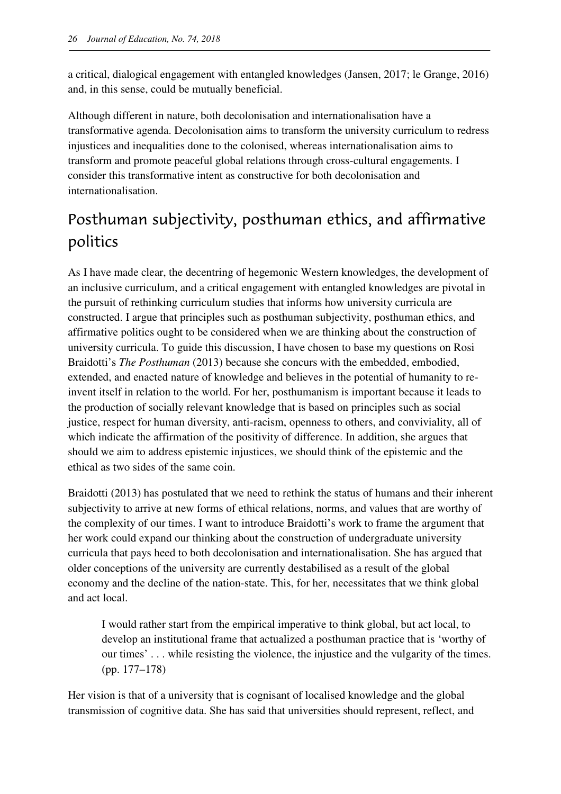a critical, dialogical engagement with entangled knowledges (Jansen, 2017; le Grange, 2016) and, in this sense, could be mutually beneficial.

Although different in nature, both decolonisation and internationalisation have a transformative agenda. Decolonisation aims to transform the university curriculum to redress injustices and inequalities done to the colonised, whereas internationalisation aims to transform and promote peaceful global relations through cross-cultural engagements. I consider this transformative intent as constructive for both decolonisation and internationalisation.

# Posthuman subjectivity, posthuman ethics, and affirmative politics

As I have made clear, the decentring of hegemonic Western knowledges, the development of an inclusive curriculum, and a critical engagement with entangled knowledges are pivotal in the pursuit of rethinking curriculum studies that informs how university curricula are constructed. I argue that principles such as posthuman subjectivity, posthuman ethics, and affirmative politics ought to be considered when we are thinking about the construction of university curricula. To guide this discussion, I have chosen to base my questions on Rosi Braidotti's *The Posthuman* (2013) because she concurs with the embedded, embodied, extended, and enacted nature of knowledge and believes in the potential of humanity to reinvent itself in relation to the world. For her, posthumanism is important because it leads to the production of socially relevant knowledge that is based on principles such as social justice, respect for human diversity, anti-racism, openness to others, and conviviality, all of which indicate the affirmation of the positivity of difference. In addition, she argues that should we aim to address epistemic injustices, we should think of the epistemic and the ethical as two sides of the same coin.

Braidotti (2013) has postulated that we need to rethink the status of humans and their inherent subjectivity to arrive at new forms of ethical relations, norms, and values that are worthy of the complexity of our times. I want to introduce Braidotti's work to frame the argument that her work could expand our thinking about the construction of undergraduate university curricula that pays heed to both decolonisation and internationalisation. She has argued that older conceptions of the university are currently destabilised as a result of the global economy and the decline of the nation-state. This, for her, necessitates that we think global and act local.

I would rather start from the empirical imperative to think global, but act local, to develop an institutional frame that actualized a posthuman practice that is 'worthy of our times' . . . while resisting the violence, the injustice and the vulgarity of the times. (pp. 177–178)

Her vision is that of a university that is cognisant of localised knowledge and the global transmission of cognitive data. She has said that universities should represent, reflect, and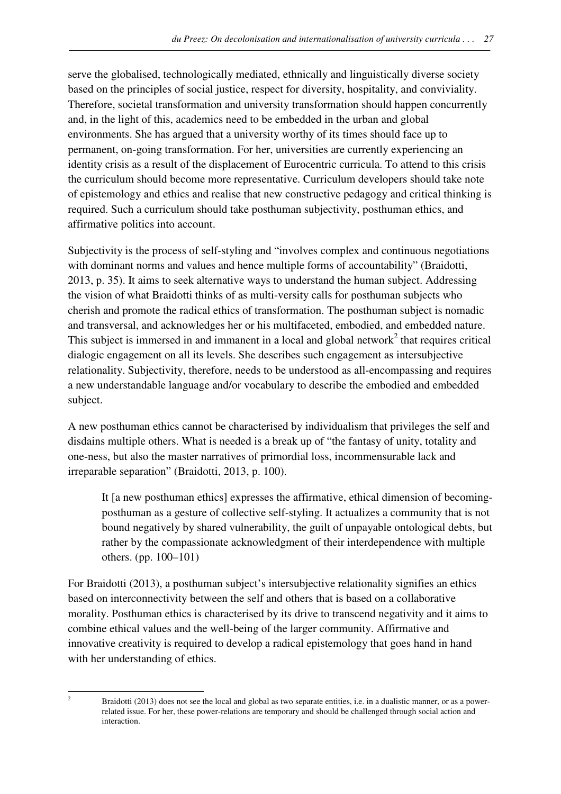serve the globalised, technologically mediated, ethnically and linguistically diverse society based on the principles of social justice, respect for diversity, hospitality, and conviviality. Therefore, societal transformation and university transformation should happen concurrently and, in the light of this, academics need to be embedded in the urban and global environments. She has argued that a university worthy of its times should face up to permanent, on-going transformation. For her, universities are currently experiencing an identity crisis as a result of the displacement of Eurocentric curricula. To attend to this crisis the curriculum should become more representative. Curriculum developers should take note of epistemology and ethics and realise that new constructive pedagogy and critical thinking is required. Such a curriculum should take posthuman subjectivity, posthuman ethics, and affirmative politics into account.

Subjectivity is the process of self-styling and "involves complex and continuous negotiations with dominant norms and values and hence multiple forms of accountability" (Braidotti, 2013, p. 35). It aims to seek alternative ways to understand the human subject. Addressing the vision of what Braidotti thinks of as multi-versity calls for posthuman subjects who cherish and promote the radical ethics of transformation. The posthuman subject is nomadic and transversal, and acknowledges her or his multifaceted, embodied, and embedded nature. This subject is immersed in and immanent in a local and global network<sup>2</sup> that requires critical dialogic engagement on all its levels. She describes such engagement as intersubjective relationality. Subjectivity, therefore, needs to be understood as all-encompassing and requires a new understandable language and/or vocabulary to describe the embodied and embedded subject.

A new posthuman ethics cannot be characterised by individualism that privileges the self and disdains multiple others. What is needed is a break up of "the fantasy of unity, totality and one-ness, but also the master narratives of primordial loss, incommensurable lack and irreparable separation" (Braidotti, 2013, p. 100).

It [a new posthuman ethics] expresses the affirmative, ethical dimension of becomingposthuman as a gesture of collective self-styling. It actualizes a community that is not bound negatively by shared vulnerability, the guilt of unpayable ontological debts, but rather by the compassionate acknowledgment of their interdependence with multiple others. (pp. 100–101)

For Braidotti (2013), a posthuman subject's intersubjective relationality signifies an ethics based on interconnectivity between the self and others that is based on a collaborative morality. Posthuman ethics is characterised by its drive to transcend negativity and it aims to combine ethical values and the well-being of the larger community. Affirmative and innovative creativity is required to develop a radical epistemology that goes hand in hand with her understanding of ethics.

l 2

Braidotti (2013) does not see the local and global as two separate entities, i.e. in a dualistic manner, or as a powerrelated issue. For her, these power-relations are temporary and should be challenged through social action and interaction.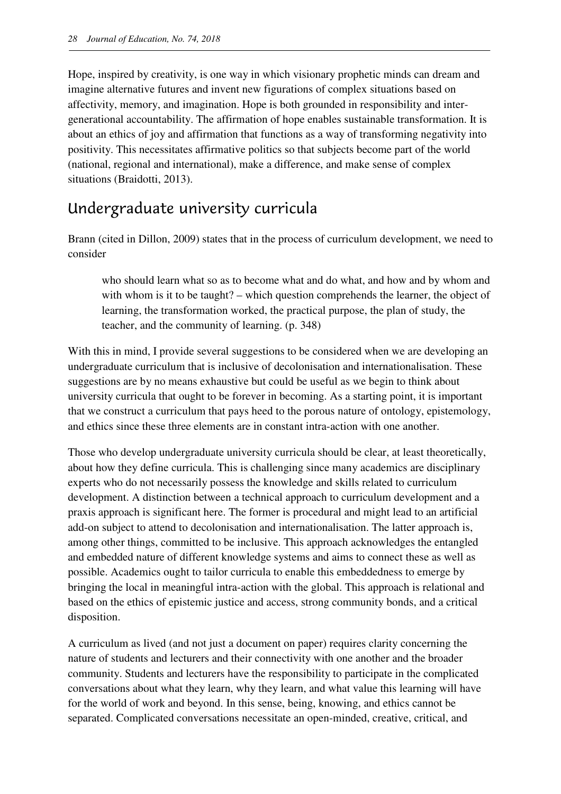Hope, inspired by creativity, is one way in which visionary prophetic minds can dream and imagine alternative futures and invent new figurations of complex situations based on affectivity, memory, and imagination. Hope is both grounded in responsibility and intergenerational accountability. The affirmation of hope enables sustainable transformation. It is about an ethics of joy and affirmation that functions as a way of transforming negativity into positivity. This necessitates affirmative politics so that subjects become part of the world (national, regional and international), make a difference, and make sense of complex situations (Braidotti, 2013).

### Undergraduate university curricula

Brann (cited in Dillon, 2009) states that in the process of curriculum development, we need to consider

who should learn what so as to become what and do what, and how and by whom and with whom is it to be taught? – which question comprehends the learner, the object of learning, the transformation worked, the practical purpose, the plan of study, the teacher, and the community of learning. (p. 348)

With this in mind, I provide several suggestions to be considered when we are developing an undergraduate curriculum that is inclusive of decolonisation and internationalisation. These suggestions are by no means exhaustive but could be useful as we begin to think about university curricula that ought to be forever in becoming. As a starting point, it is important that we construct a curriculum that pays heed to the porous nature of ontology, epistemology, and ethics since these three elements are in constant intra-action with one another.

Those who develop undergraduate university curricula should be clear, at least theoretically, about how they define curricula. This is challenging since many academics are disciplinary experts who do not necessarily possess the knowledge and skills related to curriculum development. A distinction between a technical approach to curriculum development and a praxis approach is significant here. The former is procedural and might lead to an artificial add-on subject to attend to decolonisation and internationalisation. The latter approach is, among other things, committed to be inclusive. This approach acknowledges the entangled and embedded nature of different knowledge systems and aims to connect these as well as possible. Academics ought to tailor curricula to enable this embeddedness to emerge by bringing the local in meaningful intra-action with the global. This approach is relational and based on the ethics of epistemic justice and access, strong community bonds, and a critical disposition.

A curriculum as lived (and not just a document on paper) requires clarity concerning the nature of students and lecturers and their connectivity with one another and the broader community. Students and lecturers have the responsibility to participate in the complicated conversations about what they learn, why they learn, and what value this learning will have for the world of work and beyond. In this sense, being, knowing, and ethics cannot be separated. Complicated conversations necessitate an open-minded, creative, critical, and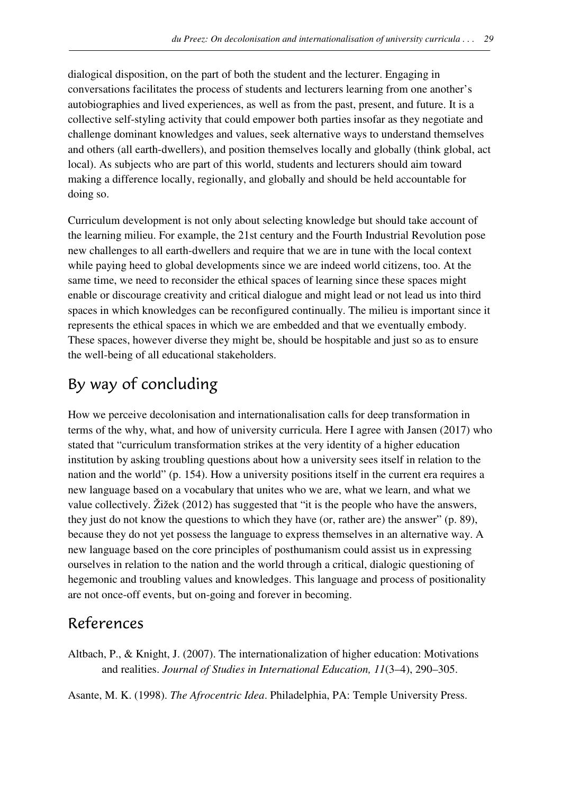dialogical disposition, on the part of both the student and the lecturer. Engaging in conversations facilitates the process of students and lecturers learning from one another's autobiographies and lived experiences, as well as from the past, present, and future. It is a collective self-styling activity that could empower both parties insofar as they negotiate and challenge dominant knowledges and values, seek alternative ways to understand themselves and others (all earth-dwellers), and position themselves locally and globally (think global, act local). As subjects who are part of this world, students and lecturers should aim toward making a difference locally, regionally, and globally and should be held accountable for doing so.

Curriculum development is not only about selecting knowledge but should take account of the learning milieu. For example, the 21st century and the Fourth Industrial Revolution pose new challenges to all earth-dwellers and require that we are in tune with the local context while paying heed to global developments since we are indeed world citizens, too. At the same time, we need to reconsider the ethical spaces of learning since these spaces might enable or discourage creativity and critical dialogue and might lead or not lead us into third spaces in which knowledges can be reconfigured continually. The milieu is important since it represents the ethical spaces in which we are embedded and that we eventually embody. These spaces, however diverse they might be, should be hospitable and just so as to ensure the well-being of all educational stakeholders.

# By way of concluding

How we perceive decolonisation and internationalisation calls for deep transformation in terms of the why, what, and how of university curricula. Here I agree with Jansen (2017) who stated that "curriculum transformation strikes at the very identity of a higher education institution by asking troubling questions about how a university sees itself in relation to the nation and the world" (p. 154). How a university positions itself in the current era requires a new language based on a vocabulary that unites who we are, what we learn, and what we value collectively. Žižek (2012) has suggested that "it is the people who have the answers, they just do not know the questions to which they have (or, rather are) the answer" (p. 89), because they do not yet possess the language to express themselves in an alternative way. A new language based on the core principles of posthumanism could assist us in expressing ourselves in relation to the nation and the world through a critical, dialogic questioning of hegemonic and troubling values and knowledges. This language and process of positionality are not once-off events, but on-going and forever in becoming.

### References

Altbach, P., & Knight, J. (2007). The internationalization of higher education: Motivations and realities. *Journal of Studies in International Education, 11*(3–4), 290–305.

Asante, M. K. (1998). *The Afrocentric Idea*. Philadelphia, PA: Temple University Press.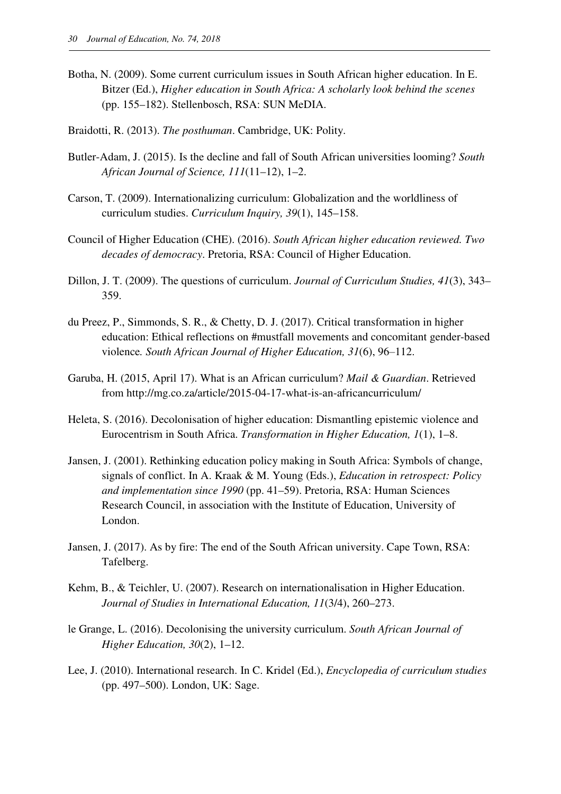Botha, N. (2009). Some current curriculum issues in South African higher education. In E. Bitzer (Ed.), *Higher education in South Africa: A scholarly look behind the scenes* (pp. 155–182). Stellenbosch, RSA: SUN MeDIA.

Braidotti, R. (2013). *The posthuman*. Cambridge, UK: Polity.

- Butler-Adam, J. (2015). Is the decline and fall of South African universities looming? *South African Journal of Science, 111*(11–12), 1–2.
- Carson, T. (2009). Internationalizing curriculum: Globalization and the worldliness of curriculum studies. *Curriculum Inquiry, 39*(1), 145–158.
- Council of Higher Education (CHE). (2016). *South African higher education reviewed. Two decades of democracy*. Pretoria, RSA: Council of Higher Education.
- Dillon, J. T. (2009). The questions of curriculum. *Journal of Curriculum Studies, 41*(3), 343– 359.
- du Preez, P., Simmonds, S. R., & Chetty, D. J. (2017). Critical transformation in higher education: Ethical reflections on #mustfall movements and concomitant gender-based violence. South African Journal of Higher Education, 31(6), 96–112.
- Garuba, H. (2015, April 17). What is an African curriculum? *Mail & Guardian*. Retrieved from http://mg.co.za/article/2015-04-17-what-is-an-africancurriculum/
- Heleta, S. (2016). Decolonisation of higher education: Dismantling epistemic violence and Eurocentrism in South Africa. *Transformation in Higher Education, 1*(1), 1–8.
- Jansen, J. (2001). Rethinking education policy making in South Africa: Symbols of change, signals of conflict. In A. Kraak & M. Young (Eds.), *Education in retrospect: Policy and implementation since 1990* (pp. 41–59). Pretoria, RSA: Human Sciences Research Council, in association with the Institute of Education, University of London.
- Jansen, J. (2017). As by fire: The end of the South African university. Cape Town, RSA: Tafelberg.
- Kehm, B., & Teichler, U. (2007). Research on internationalisation in Higher Education. *Journal of Studies in International Education, 11*(3/4), 260–273.
- le Grange, L. (2016). Decolonising the university curriculum. *South African Journal of Higher Education, 30*(2), 1–12.
- Lee, J. (2010). International research. In C. Kridel (Ed.), *Encyclopedia of curriculum studies*  (pp. 497–500). London, UK: Sage.